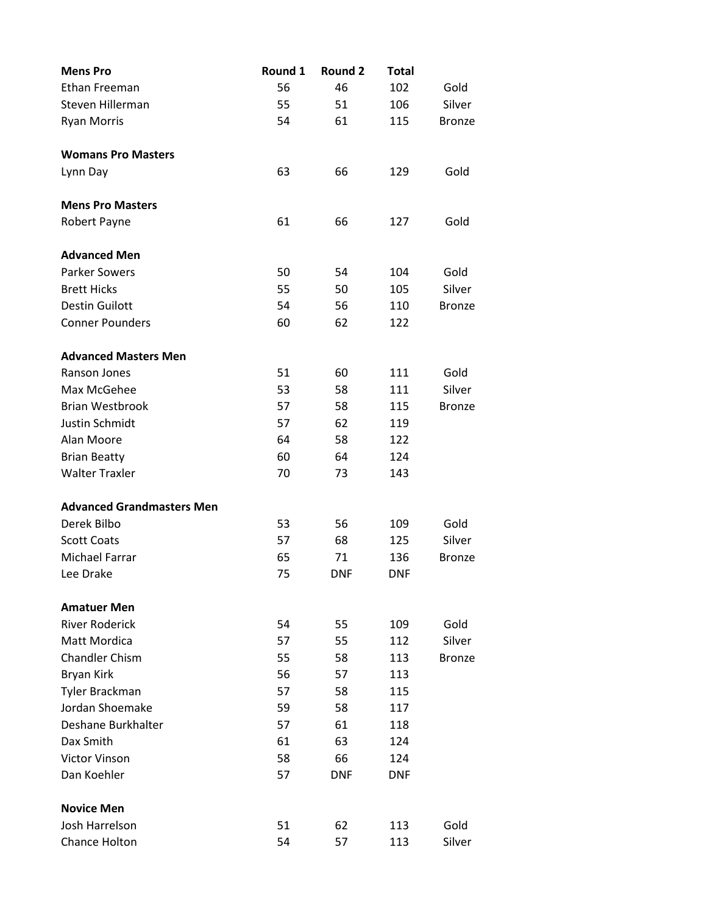| <b>Mens Pro</b>                  | Round 1 | Round 2    | <b>Total</b> |               |
|----------------------------------|---------|------------|--------------|---------------|
| Ethan Freeman                    | 56      | 46         | 102          | Gold          |
| Steven Hillerman                 | 55      | 51         | 106          | Silver        |
| <b>Ryan Morris</b>               | 54      | 61         | 115          | <b>Bronze</b> |
|                                  |         |            |              |               |
| <b>Womans Pro Masters</b>        |         |            |              |               |
| Lynn Day                         | 63      | 66         | 129          | Gold          |
|                                  |         |            |              |               |
| <b>Mens Pro Masters</b>          |         |            |              |               |
| Robert Payne                     | 61      | 66         | 127          | Gold          |
| <b>Advanced Men</b>              |         |            |              |               |
| <b>Parker Sowers</b>             | 50      | 54         | 104          | Gold          |
| <b>Brett Hicks</b>               | 55      | 50         | 105          | Silver        |
| <b>Destin Guilott</b>            | 54      | 56         | 110          | <b>Bronze</b> |
| <b>Conner Pounders</b>           | 60      | 62         | 122          |               |
|                                  |         |            |              |               |
| <b>Advanced Masters Men</b>      |         |            |              |               |
| Ranson Jones                     | 51      | 60         | 111          | Gold          |
| Max McGehee                      | 53      | 58         | 111          | Silver        |
| <b>Brian Westbrook</b>           | 57      | 58         | 115          | <b>Bronze</b> |
| Justin Schmidt                   | 57      | 62         | 119          |               |
| Alan Moore                       | 64      | 58         | 122          |               |
| <b>Brian Beatty</b>              | 60      | 64         | 124          |               |
| <b>Walter Traxler</b>            | 70      | 73         | 143          |               |
|                                  |         |            |              |               |
| <b>Advanced Grandmasters Men</b> |         |            |              |               |
| Derek Bilbo                      | 53      | 56         | 109          | Gold          |
| <b>Scott Coats</b>               | 57      | 68         | 125          | Silver        |
| <b>Michael Farrar</b>            | 65      | 71         | 136          | <b>Bronze</b> |
| Lee Drake                        | 75      | <b>DNF</b> | <b>DNF</b>   |               |
| <b>Amatuer Men</b>               |         |            |              |               |
| <b>River Roderick</b>            | 54      | 55         | 109          | Gold          |
| Matt Mordica                     | 57      | 55         | 112          | Silver        |
| <b>Chandler Chism</b>            | 55      | 58         | 113          | <b>Bronze</b> |
| Bryan Kirk                       | 56      | 57         | 113          |               |
| Tyler Brackman                   | 57      | 58         | 115          |               |
| Jordan Shoemake                  | 59      | 58         | 117          |               |
| Deshane Burkhalter               | 57      | 61         | 118          |               |
| Dax Smith                        | 61      | 63         | 124          |               |
| <b>Victor Vinson</b>             | 58      | 66         | 124          |               |
| Dan Koehler                      | 57      | <b>DNF</b> | <b>DNF</b>   |               |
|                                  |         |            |              |               |
| <b>Novice Men</b>                |         |            |              |               |
| Josh Harrelson                   | 51      | 62         | 113          | Gold          |
| Chance Holton                    | 54      | 57         | 113          | Silver        |